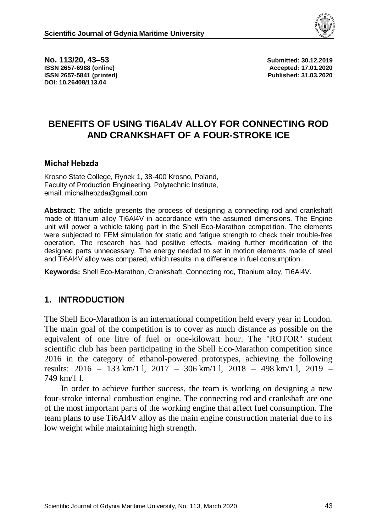

**No. 113/20, 43–53 Submitted: 30.12.2019 ISSN 2657-6988 (online) Accepted: 17.01.2020 ISSN 2657-5841 (printed) Published: 31.03.2020 DOI: 10.26408/113.04**

# **BENEFITS OF USING TI6AL4V ALLOY FOR CONNECTING ROD AND CRANKSHAFT OF A FOUR-STROKE ICE**

#### **Michał Hebzda**

Krosno State College, Rynek 1, 38-400 Krosno, Poland, Faculty of Production Engineering, Polytechnic Institute, email: michalhebzda@gmail.com

**Abstract:** The article presents the process of designing a connecting rod and crankshaft made of titanium alloy Ti6Al4V in accordance with the assumed dimensions. The Engine unit will power a vehicle taking part in the Shell Eco-Marathon competition. The elements were subjected to FEM simulation for static and fatigue strength to check their trouble-free operation. The research has had positive effects, making further modification of the designed parts unnecessary. The energy needed to set in motion elements made of steel and Ti6Al4V alloy was compared, which results in a difference in fuel consumption.

**Keywords:** Shell Eco-Marathon, Crankshaft, Connecting rod, Titanium alloy, Ti6Al4V.

#### **1. INTRODUCTION**

The Shell Eco-Marathon is an international competition held every year in London. The main goal of the competition is to cover as much distance as possible on the equivalent of one litre of fuel or one-kilowatt hour. The "ROTOR" student scientific club has been participating in the Shell Eco-Marathon competition since 2016 in the category of ethanol-powered prototypes, achieving the following results: 2016 – 133 km/1 l, 2017 – 306 km/1 l, 2018 – 498 km/1 l, 2019 – 749 km/1 l.

In order to achieve further success, the team is working on designing a new four-stroke internal combustion engine. The connecting rod and crankshaft are one of the most important parts of the working engine that affect fuel consumption. The team plans to use Ti6Al4V alloy as the main engine construction material due to its low weight while maintaining high strength.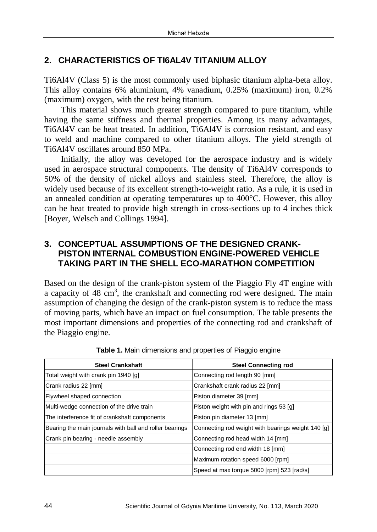# **2. CHARACTERISTICS OF TI6AL4V TITANIUM ALLOY**

Ti6Al4V (Class 5) is the most commonly used biphasic titanium alpha-beta alloy. This alloy contains 6% aluminium, 4% vanadium, 0.25% (maximum) iron, 0.2% (maximum) oxygen, with the rest being titanium.

This material shows much greater strength compared to pure titanium, while having the same stiffness and thermal properties. Among its many advantages, Ti6Al4V can be heat treated. In addition, Ti6Al4V is corrosion resistant, and easy to weld and machine compared to other titanium alloys. The yield strength of Ti6Al4V oscillates around 850 MPa.

Initially, the alloy was developed for the aerospace industry and is widely used in aerospace structural components. The density of Ti6Al4V corresponds to 50% of the density of nickel alloys and stainless steel. Therefore, the alloy is widely used because of its excellent strength-to-weight ratio. As a rule, it is used in an annealed condition at operating temperatures up to 400°C. However, this alloy can be heat treated to provide high strength in cross-sections up to 4 inches thick [Boyer, Welsch and Collings 1994].

### **3. CONCEPTUAL ASSUMPTIONS OF THE DESIGNED CRANK-PISTON INTERNAL COMBUSTION ENGINE-POWERED VEHICLE TAKING PART IN THE SHELL ECO-MARATHON COMPETITION**

Based on the design of the crank-piston system of the Piaggio Fly 4T engine with a capacity of 48 cm<sup>3</sup>, the crankshaft and connecting rod were designed. The main assumption of changing the design of the crank-piston system is to reduce the mass of moving parts, which have an impact on fuel consumption. The table presents the most important dimensions and properties of the connecting rod and crankshaft of the Piaggio engine.

| <b>Steel Crankshaft</b>                                 | <b>Steel Connecting rod</b>                        |
|---------------------------------------------------------|----------------------------------------------------|
| Total weight with crank pin 1940 [g]                    | Connecting rod length 90 [mm]                      |
| Crank radius 22 [mm]                                    | Crankshaft crank radius 22 [mm]                    |
| Flywheel shaped connection                              | Piston diameter 39 [mm]                            |
| Multi-wedge connection of the drive train               | Piston weight with pin and rings 53 [g]            |
| The interference fit of crankshaft components           | Piston pin diameter 13 [mm]                        |
| Bearing the main journals with ball and roller bearings | Connecting rod weight with bearings weight 140 [g] |
| Crank pin bearing - needle assembly                     | Connecting rod head width 14 [mm]                  |
|                                                         | Connecting rod end width 18 [mm]                   |
|                                                         | Maximum rotation speed 6000 [rpm]                  |
|                                                         | Speed at max torque 5000 [rpm] 523 [rad/s]         |

**Table 1.** Main dimensions and properties of Piaggio engine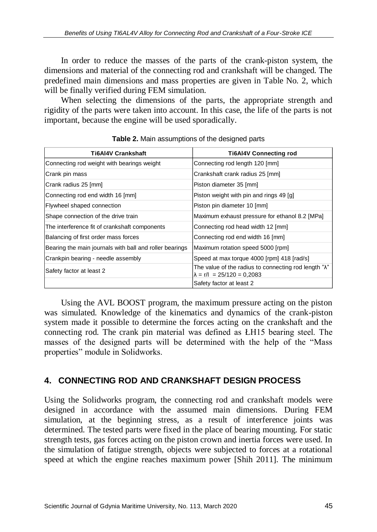In order to reduce the masses of the parts of the crank-piston system, the dimensions and material of the connecting rod and crankshaft will be changed. The predefined main dimensions and mass properties are given in Table No. 2, which will be finally verified during FEM simulation.

When selecting the dimensions of the parts, the appropriate strength and rigidity of the parts were taken into account. In this case, the life of the parts is not important, because the engine will be used sporadically.

| <b>Ti6AI4V Crankshaft</b>                               | <b>Ti6AI4V Connecting rod</b>                                                                       |
|---------------------------------------------------------|-----------------------------------------------------------------------------------------------------|
| Connecting rod weight with bearings weight              | Connecting rod length 120 [mm]                                                                      |
| Crank pin mass                                          | Crankshaft crank radius 25 [mm]                                                                     |
| Crank radius 25 [mm]                                    | Piston diameter 35 [mm]                                                                             |
| Connecting rod end width 16 [mm]                        | Piston weight with pin and rings 49 [g]                                                             |
| Flywheel shaped connection                              | Piston pin diameter 10 [mm]                                                                         |
| Shape connection of the drive train                     | Maximum exhaust pressure for ethanol 8.2 [MPa]                                                      |
| The interference fit of crankshaft components           | Connecting rod head width 12 [mm]                                                                   |
| Balancing of first order mass forces                    | Connecting rod end width 16 [mm]                                                                    |
| Bearing the main journals with ball and roller bearings | Maximum rotation speed 5000 [rpm]                                                                   |
| Crankpin bearing - needle assembly                      | Speed at max torque 4000 [rpm] 418 [rad/s]                                                          |
| Safety factor at least 2                                | The value of the radius to connecting rod length " $\lambda$ "<br>$\lambda = r/l = 25/120 = 0.2083$ |
|                                                         | Safety factor at least 2                                                                            |

**Table 2.** Main assumptions of the designed parts

Using the AVL BOOST program, the maximum pressure acting on the piston was simulated. Knowledge of the kinematics and dynamics of the crank-piston system made it possible to determine the forces acting on the crankshaft and the connecting rod. The crank pin material was defined as ŁH15 bearing steel. The masses of the designed parts will be determined with the help of the "Mass properties" module in Solidworks.

# **4. CONNECTING ROD AND CRANKSHAFT DESIGN PROCESS**

Using the Solidworks program, the connecting rod and crankshaft models were designed in accordance with the assumed main dimensions. During FEM simulation, at the beginning stress, as a result of interference joints was determined. The tested parts were fixed in the place of bearing mounting. For static strength tests, gas forces acting on the piston crown and inertia forces were used. In the simulation of fatigue strength, objects were subjected to forces at a rotational speed at which the engine reaches maximum power [Shih 2011]. The minimum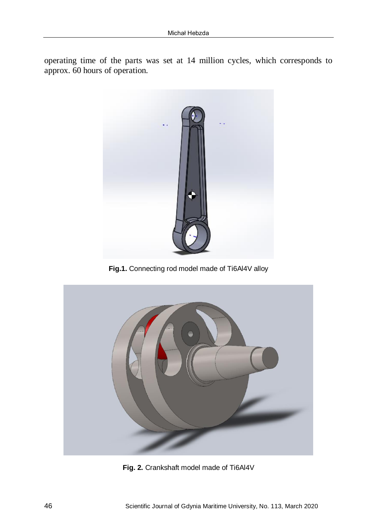operating time of the parts was set at 14 million cycles, which corresponds to approx. 60 hours of operation.



**Fig.1.** Connecting rod model made of Ti6Al4V alloy



**Fig. 2.** Crankshaft model made of Ti6Al4V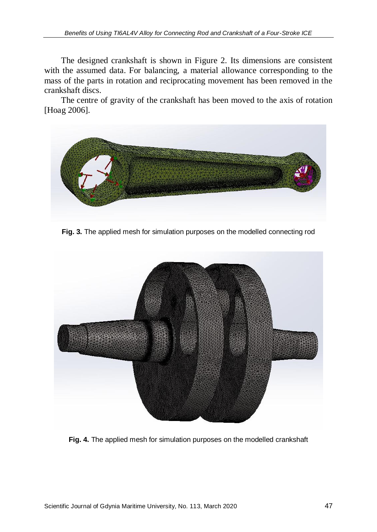The designed crankshaft is shown in Figure 2. Its dimensions are consistent with the assumed data. For balancing, a material allowance corresponding to the mass of the parts in rotation and reciprocating movement has been removed in the crankshaft discs.

The centre of gravity of the crankshaft has been moved to the axis of rotation [Hoag 2006].



**Fig. 3.** The applied mesh for simulation purposes on the modelled connecting rod



**Fig. 4.** The applied mesh for simulation purposes on the modelled crankshaft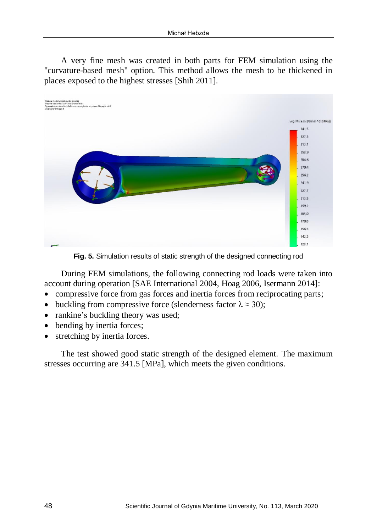A very fine mesh was created in both parts for FEM simulation using the "curvature-based mesh" option. This method allows the mesh to be thickened in places exposed to the highest stresses [Shih 2011].



**Fig. 5.** Simulation results of static strength of the designed connecting rod

During FEM simulations, the following connecting rod loads were taken into account during operation [SAE International 2004, Hoag 2006, Isermann 2014]:

- compressive force from gas forces and inertia forces from reciprocating parts;
- buckling from compressive force (slenderness factor  $\lambda \approx 30$ );
- rankine's buckling theory was used;
- bending by inertia forces;
- stretching by inertia forces.

The test showed good static strength of the designed element. The maximum stresses occurring are 341.5 [MPa], which meets the given conditions.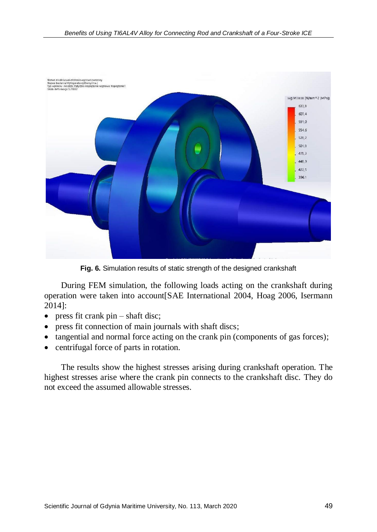

**Fig. 6.** Simulation results of static strength of the designed crankshaft

During FEM simulation, the following loads acting on the crankshaft during operation were taken into account[SAE International 2004, Hoag 2006, Isermann 2014]:

- press fit crank  $pin shaft$  disc;
- press fit connection of main journals with shaft discs;
- tangential and normal force acting on the crank pin (components of gas forces);
- centrifugal force of parts in rotation.

The results show the highest stresses arising during crankshaft operation. The highest stresses arise where the crank pin connects to the crankshaft disc. They do not exceed the assumed allowable stresses.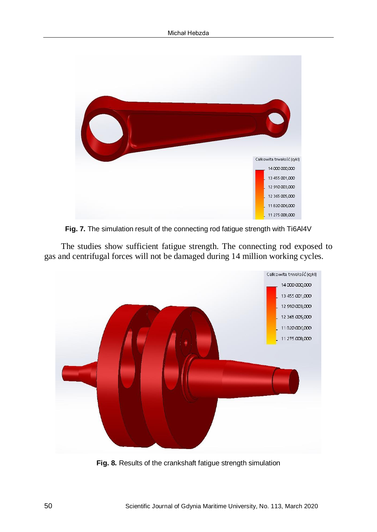

**Fig. 7.** The simulation result of the connecting rod fatigue strength with Ti6Al4V

The studies show sufficient fatigue strength. The connecting rod exposed to gas and centrifugal forces will not be damaged during 14 million working cycles.



**Fig. 8.** Results of the crankshaft fatigue strength simulation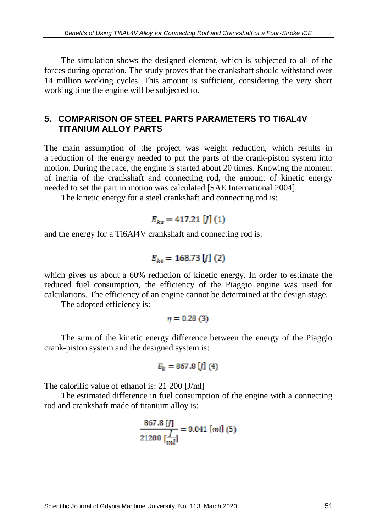The simulation shows the designed element, which is subjected to all of the forces during operation. The study proves that the crankshaft should withstand over 14 million working cycles. This amount is sufficient, considering the very short working time the engine will be subjected to.

# **5. COMPARISON OF STEEL PARTS PARAMETERS TO TI6AL4V TITANIUM ALLOY PARTS**

The main assumption of the project was weight reduction, which results in a reduction of the energy needed to put the parts of the crank-piston system into motion. During the race, the engine is started about 20 times. Knowing the moment of inertia of the crankshaft and connecting rod, the amount of kinetic energy needed to set the part in motion was calculated [SAE International 2004].

The kinetic energy for a steel crankshaft and connecting rod is:

$$
E_{ks} = 417.21 [J](1)
$$

and the energy for a Ti6Al4V crankshaft and connecting rod is:

$$
E_{kt} = 168.73 [J] (2)
$$

which gives us about a 60% reduction of kinetic energy. In order to estimate the reduced fuel consumption, the efficiency of the Piaggio engine was used for calculations. The efficiency of an engine cannot be determined at the design stage.

The adopted efficiency is:

$$
\eta=0.28~(3)
$$

The sum of the kinetic energy difference between the energy of the Piaggio crank-piston system and the designed system is:

$$
E_k = 867.8 [J] (4)
$$

The calorific value of ethanol is: 21 200 [J/ml]

The estimated difference in fuel consumption of the engine with a connecting rod and crankshaft made of titanium alloy is:

$$
\frac{867.8 \text{ [J]}}{21200 \text{ [m]}}
$$
 = 0.041 [ml] (5)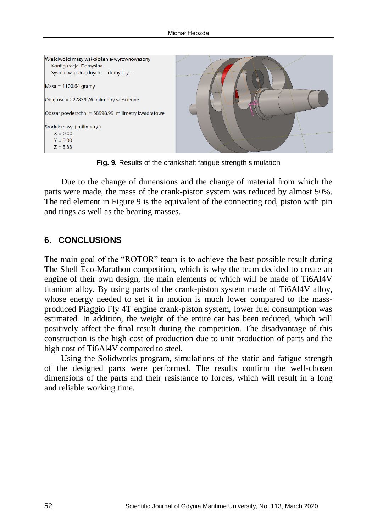

**Fig. 9.** Results of the crankshaft fatigue strength simulation

Due to the change of dimensions and the change of material from which the parts were made, the mass of the crank-piston system was reduced by almost 50%. The red element in Figure 9 is the equivalent of the connecting rod, piston with pin and rings as well as the bearing masses.

#### **6. CONCLUSIONS**

The main goal of the "ROTOR" team is to achieve the best possible result during The Shell Eco-Marathon competition, which is why the team decided to create an engine of their own design, the main elements of which will be made of Ti6Al4V titanium alloy. By using parts of the crank-piston system made of Ti6Al4V alloy, whose energy needed to set it in motion is much lower compared to the massproduced Piaggio Fly 4T engine crank-piston system, lower fuel consumption was estimated. In addition, the weight of the entire car has been reduced, which will positively affect the final result during the competition. The disadvantage of this construction is the high cost of production due to unit production of parts and the high cost of Ti6Al4V compared to steel.

Using the Solidworks program, simulations of the static and fatigue strength of the designed parts were performed. The results confirm the well-chosen dimensions of the parts and their resistance to forces, which will result in a long and reliable working time.